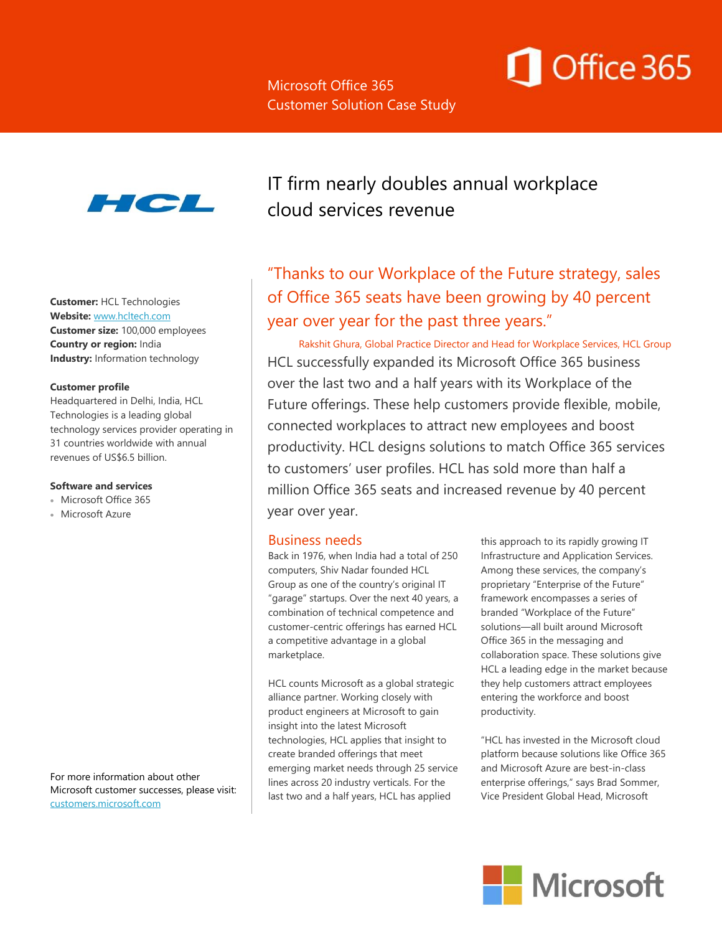# Office 365



**Customer:** HCL Technologies **Website:** [www.hcltech.com](http://www.hcltech.com/) **Customer size:** 100,000 employees **Country or region:** India **Industry:** Information technology

#### **Customer profile**

Headquartered in Delhi, India, HCL Technologies is a leading global technology services provider operating in 31 countries worldwide with annual revenues of US\$6.5 billion.

#### **Software and services**

- Microsoft Office 365
- Microsoft Azure

For more information about other Microsoft customer successes, please visit: [customers.microsoft.com](https://customers.microsoft.com/Pages/Home.aspx)

IT firm nearly doubles annual workplace cloud services revenue

"Thanks to our Workplace of the Future strategy, sales of Office 365 seats have been growing by 40 percent year over year for the past three years."

Rakshit Ghura, Global Practice Director and Head for Workplace Services, HCL Group HCL successfully expanded its Microsoft Office 365 business over the last two and a half years with its Workplace of the Future offerings. These help customers provide flexible, mobile, connected workplaces to attract new employees and boost productivity. HCL designs solutions to match Office 365 services to customers' user profiles. HCL has sold more than half a million Office 365 seats and increased revenue by 40 percent year over year.

#### Business needs

Back in 1976, when India had a total of 250 computers, Shiv Nadar founded HCL Group as one of the country's original IT "garage" startups. Over the next 40 years, a combination of technical competence and customer-centric offerings has earned HCL a competitive advantage in a global marketplace.

HCL counts Microsoft as a global strategic alliance partner. Working closely with product engineers at Microsoft to gain insight into the latest Microsoft technologies, HCL applies that insight to create branded offerings that meet emerging market needs through 25 service lines across 20 industry verticals. For the last two and a half years, HCL has applied

this approach to its rapidly growing IT Infrastructure and Application Services. Among these services, the company's proprietary "Enterprise of the Future" framework encompasses a series of branded "Workplace of the Future" solutions—all built around Microsoft Office 365 in the messaging and collaboration space. These solutions give HCL a leading edge in the market because they help customers attract employees entering the workforce and boost productivity.

"HCL has invested in the Microsoft cloud platform because solutions like Office 365 and Microsoft Azure are best-in-class enterprise offerings," says Brad Sommer, Vice President Global Head, Microsoft